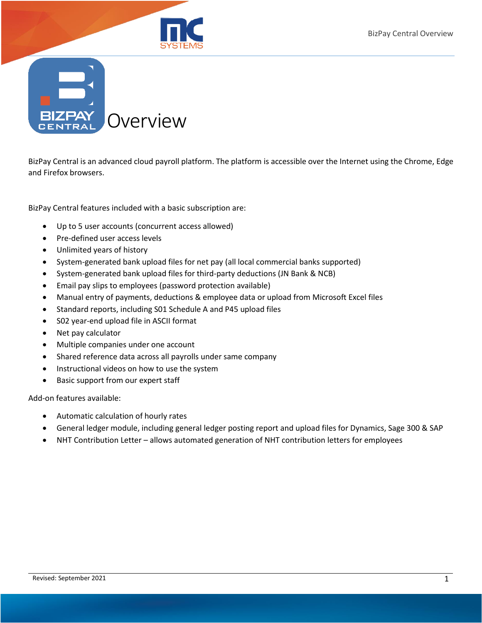

**BIZPA** Overview

BizPay Central is an advanced cloud payroll platform. The platform is accessible over the Internet using the Chrome, Edge and Firefox browsers.

BizPay Central features included with a basic subscription are:

- Up to 5 user accounts (concurrent access allowed)
- Pre-defined user access levels
- Unlimited years of history
- System-generated bank upload files for net pay (all local commercial banks supported)
- System-generated bank upload files for third-party deductions (JN Bank & NCB)
- Email pay slips to employees (password protection available)
- Manual entry of payments, deductions & employee data or upload from Microsoft Excel files
- Standard reports, including S01 Schedule A and P45 upload files
- S02 year-end upload file in ASCII format
- Net pay calculator
- Multiple companies under one account
- Shared reference data across all payrolls under same company
- Instructional videos on how to use the system
- Basic support from our expert staff

Add-on features available:

- Automatic calculation of hourly rates
- General ledger module, including general ledger posting report and upload files for Dynamics, Sage 300 & SAP
- NHT Contribution Letter allows automated generation of NHT contribution letters for employees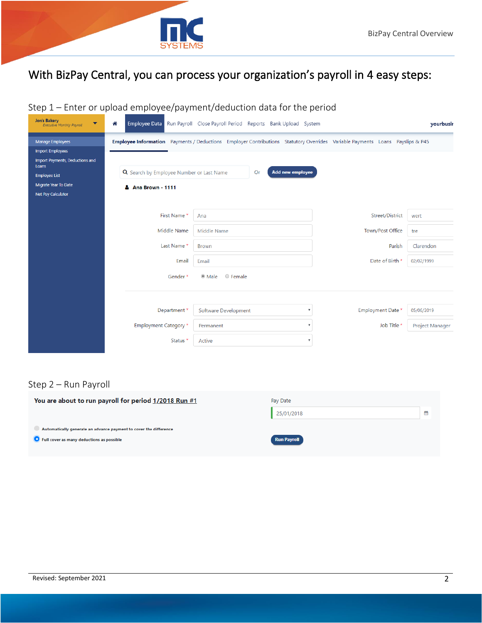

# With BizPay Central, you can process your organization's payroll in 4 easy steps:

## Step 1 – Enter or upload employee/payment/deduction data for the period

| <b>Jon's Bakery</b><br>▼<br><b>Executive Monthly Payroll</b> | "                                        | Employee Data Run Payroll Close Payroll Period Reports Bank Upload System                                                    |                   | yourbusir       |
|--------------------------------------------------------------|------------------------------------------|------------------------------------------------------------------------------------------------------------------------------|-------------------|-----------------|
| Manage Employees<br><b>Import Employees</b>                  |                                          | Employee Information Payments / Deductions Employer Contributions Statutory Overrides Variable Payments Loans Payslips & P45 |                   |                 |
| Import Payments, Deductions and<br>Loans                     |                                          |                                                                                                                              |                   |                 |
| <b>Employee List</b>                                         | Q Search by Employee Number or Last Name | <b>Add new employee</b><br>Or                                                                                                |                   |                 |
| Migrate Year To Date                                         | A Ana Brown - 1111                       |                                                                                                                              |                   |                 |
| Net Pay Calculator                                           |                                          |                                                                                                                              |                   |                 |
|                                                              | First Name*                              | Ana                                                                                                                          | Street/District   | wert            |
|                                                              | Middle Name                              | Middle Name                                                                                                                  | Town/Post Office  | tre             |
|                                                              | Last Name*                               | <b>Brown</b>                                                                                                                 | Parish            | Clarendon       |
|                                                              | Email                                    | Email                                                                                                                        | Date of Birth *   | 02/02/1999      |
|                                                              | Gender*                                  | O Female<br><sup>●</sup> Male                                                                                                |                   |                 |
|                                                              |                                          |                                                                                                                              |                   |                 |
|                                                              | Department *                             | Software Development                                                                                                         | Employment Date * | 05/06/2019      |
|                                                              | Employment Category *                    | Permanent                                                                                                                    | Job Title *       | Project Manager |
|                                                              | Status *                                 | Active                                                                                                                       |                   |                 |

#### Step 2 – Run Payroll

| You are about to run payroll for period 1/2018 Run #1                                                          | Pay Date           |   |
|----------------------------------------------------------------------------------------------------------------|--------------------|---|
|                                                                                                                | 25/01/2018         | 鱛 |
| Automatically generate an advance payment to cover the difference<br>Full cover as many deductions as possible | <b>Run Payroll</b> |   |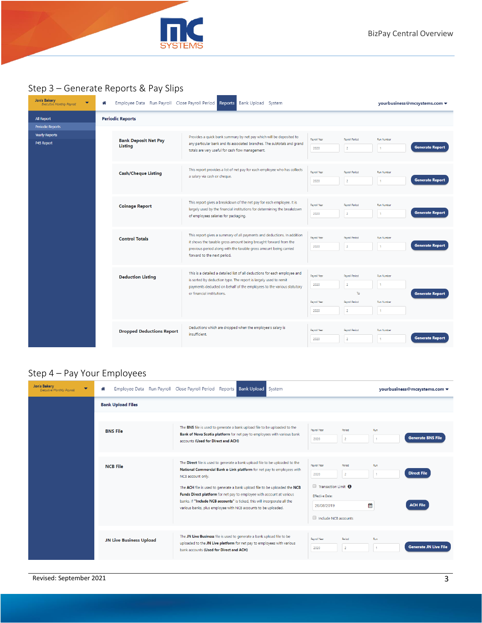

## Step 3 – Generate Reports & Pay Slips

| <b>Jon's Bakery</b><br>▼<br><b>Executive Monthly Payroll</b>   | Employee Data Run Payroll Close Payroll Period Reports<br>Bank Upload System<br>⋒ |                                                                             |                                                                                                                                                                                                                                                       | yourbusiness@mcsystems.com ▼                 |                                                                             |                                                   |                        |
|----------------------------------------------------------------|-----------------------------------------------------------------------------------|-----------------------------------------------------------------------------|-------------------------------------------------------------------------------------------------------------------------------------------------------------------------------------------------------------------------------------------------------|----------------------------------------------|-----------------------------------------------------------------------------|---------------------------------------------------|------------------------|
| All Report                                                     | <b>Periodic Reports</b>                                                           |                                                                             |                                                                                                                                                                                                                                                       |                                              |                                                                             |                                                   |                        |
| <b>Periodic Reports</b><br><b>Yearly Reports</b><br>P45 Report |                                                                                   | <b>Bank Deposit Net Pay</b><br>Listing                                      | Provides a quick bank summary by net pay which will be deposited to<br>any particular bank and its associated branches. The subtotals and grand<br>totals are very useful for cash flow management.                                                   | Payroll Year<br>2020                         | Payroll Period<br>$\overline{2}$                                            | <b>Run Number</b>                                 | <b>Generate Report</b> |
|                                                                |                                                                                   | <b>Cash/Cheque Listing</b>                                                  | This report provides a list of net pay for each employee who has collects<br>a salary via cash or cheque.                                                                                                                                             | Payroll Year<br>2020                         | Payroll Period<br>$\overline{2}$                                            | <b>Run Number</b><br>п.                           | <b>Generate Report</b> |
|                                                                |                                                                                   | <b>Coinage Report</b>                                                       | This report gives a breakdown of the net pay for each employee. It is<br>largely used by the financial institutions for determining the breakdown<br>of employees salaries for packaging.                                                             | Payroll Year<br>2020                         | Payroll Period<br>$\overline{2}$                                            | <b>Run Number</b><br>1                            | <b>Generate Report</b> |
|                                                                |                                                                                   | <b>Control Totals</b>                                                       | This report gives a summary of all payments and deductions. In addition<br>it shows the taxable gross amount being brought forward from the<br>previous period along with the taxable gross amount being carried<br>forward to the next period.       | Payroll Year<br>2020                         | Payroll Period<br>$\overline{2}$                                            | <b>Run Number</b><br>л.                           | <b>Generate Report</b> |
|                                                                |                                                                                   | <b>Deduction Listing</b>                                                    | This is a detailed a detailed list of all deductions for each employee and<br>is sorted by deduction type. The report is largely used to remit<br>payments deducted on behalf of the employees to the various statutory<br>or financial institutions. | Payroll Year<br>2020<br>Payroll Year<br>2020 | Payroll Period<br>$\overline{2}$<br>To:<br>Payroll Period<br>$\overline{2}$ | <b>Run Number</b><br>1<br><b>Run Number</b><br>1. | <b>Generate Report</b> |
|                                                                | <b>Dropped Deductions Report</b>                                                  | Deductions which are dropped when the employee's salary is<br>insufficient. | Payroll Year<br>2020                                                                                                                                                                                                                                  | Payroll Period<br>$\overline{2}$             | <b>Run Number</b>                                                           | <b>Generate Report</b>                            |                        |

#### Step 4 – Pay Your Employees

| <b>Jon's Bakery</b><br><b>Executive Monthly Payroll</b> | ≪                              | Employee Data Run Payroll Close Payroll Period Reports Bank Upload<br>System                                                                                                                                                                                                                                                                                                                                                                                                      | yourbusiness@mcsystems.com v                                                                                                                                                                                 |
|---------------------------------------------------------|--------------------------------|-----------------------------------------------------------------------------------------------------------------------------------------------------------------------------------------------------------------------------------------------------------------------------------------------------------------------------------------------------------------------------------------------------------------------------------------------------------------------------------|--------------------------------------------------------------------------------------------------------------------------------------------------------------------------------------------------------------|
|                                                         | <b>Bank Upload Files</b>       |                                                                                                                                                                                                                                                                                                                                                                                                                                                                                   |                                                                                                                                                                                                              |
|                                                         | <b>BNS File</b>                | The BNS file is used to generate a bank upload file to be uploaded to the<br>Bank of Nova Scotia platform for net pay to employees with various bank<br>accounts (Used for Direct and ACH)                                                                                                                                                                                                                                                                                        | Payroll Year<br>Period<br>Run<br><b>Generate BNS File</b><br>$\overline{2}$<br>2020                                                                                                                          |
|                                                         | <b>NCB File</b>                | The Direct file is used to generate a bank upload file to be uploaded to the<br>National Commercial Bank e-Link platform for net pay to employees with<br>NCB account only.<br>The ACH file is used to generate a bank upload file to be uploaded the NCB<br>Funds Direct platform for net pay to employee with account at various<br>banks. If "Include NCB accounts" is ticked, this will incorporate all the<br>various banks, plus employee with NCB accounts to be uploaded. | Payroll Year<br>Period<br>Run<br><b>Direct File</b><br>2020<br>$\overline{2}$<br>1<br>Transaction Limit <sup>6</sup><br><b>Effective Date:</b><br>₩<br><b>ACH File</b><br>26/08/2019<br>Include NCB accounts |
|                                                         | <b>JN Live Business Upload</b> | The JN Live Business file is used to generate a bank upload file to be<br>uploaded to the JN Live platform for net pay to employees with various<br>bank accounts (Used for Direct and ACH)                                                                                                                                                                                                                                                                                       | Payroll Year<br>Period<br>Run<br><b>Generate JN Live File</b><br>$\overline{2}$<br>2020                                                                                                                      |